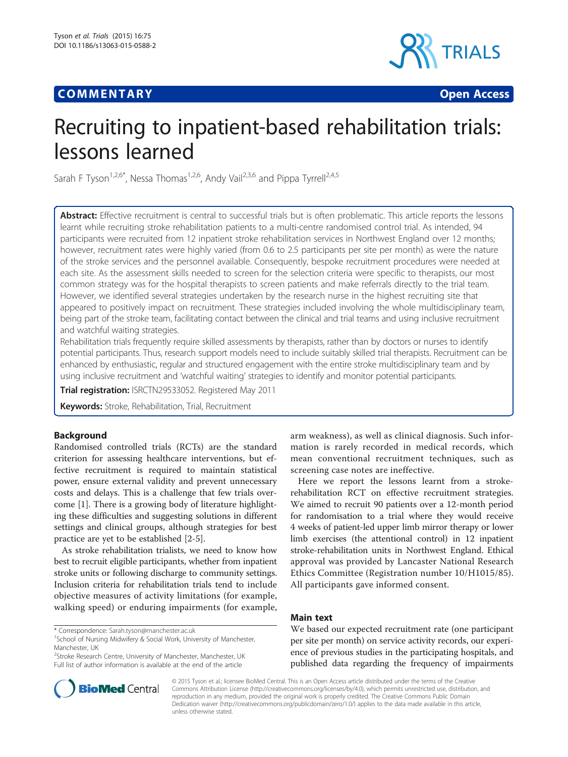## **COMMENTARY COMMENTARY Open Access**



# Recruiting to inpatient-based rehabilitation trials: lessons learned

Sarah F Tyson<sup>1,2,6\*</sup>, Nessa Thomas<sup>1,2,6</sup>, Andy Vail<sup>2,3,6</sup> and Pippa Tyrrell<sup>2,4,5</sup>

Abstract: Effective recruitment is central to successful trials but is often problematic. This article reports the lessons learnt while recruiting stroke rehabilitation patients to a multi-centre randomised control trial. As intended, 94 participants were recruited from 12 inpatient stroke rehabilitation services in Northwest England over 12 months; however, recruitment rates were highly varied (from 0.6 to 2.5 participants per site per month) as were the nature of the stroke services and the personnel available. Consequently, bespoke recruitment procedures were needed at each site. As the assessment skills needed to screen for the selection criteria were specific to therapists, our most common strategy was for the hospital therapists to screen patients and make referrals directly to the trial team. However, we identified several strategies undertaken by the research nurse in the highest recruiting site that appeared to positively impact on recruitment. These strategies included involving the whole multidisciplinary team, being part of the stroke team, facilitating contact between the clinical and trial teams and using inclusive recruitment and watchful waiting strategies.

Rehabilitation trials frequently require skilled assessments by therapists, rather than by doctors or nurses to identify potential participants. Thus, research support models need to include suitably skilled trial therapists. Recruitment can be enhanced by enthusiastic, regular and structured engagement with the entire stroke multidisciplinary team and by using inclusive recruitment and 'watchful waiting' strategies to identify and monitor potential participants.

Trial registration: [ISRCTN29533052.](http://www.isrctn.com/ISRCTN29533052) Registered May 2011

Keywords: Stroke, Rehabilitation, Trial, Recruitment

## Background

Randomised controlled trials (RCTs) are the standard criterion for assessing healthcare interventions, but effective recruitment is required to maintain statistical power, ensure external validity and prevent unnecessary costs and delays. This is a challenge that few trials overcome [[1\]](#page-2-0). There is a growing body of literature highlighting these difficulties and suggesting solutions in different settings and clinical groups, although strategies for best practice are yet to be established [[2-](#page-2-0)[5](#page-3-0)].

As stroke rehabilitation trialists, we need to know how best to recruit eligible participants, whether from inpatient stroke units or following discharge to community settings. Inclusion criteria for rehabilitation trials tend to include objective measures of activity limitations (for example, walking speed) or enduring impairments (for example,

\* Correspondence: [Sarah.tyson@manchester.ac.uk](mailto:Sarah.tyson@manchester.ac.uk) <sup>1</sup>

<sup>2</sup>Stroke Research Centre, University of Manchester, Manchester, UK Full list of author information is available at the end of the article



Here we report the lessons learnt from a strokerehabilitation RCT on effective recruitment strategies. We aimed to recruit 90 patients over a 12-month period for randomisation to a trial where they would receive 4 weeks of patient-led upper limb mirror therapy or lower limb exercises (the attentional control) in 12 inpatient stroke-rehabilitation units in Northwest England. Ethical approval was provided by Lancaster National Research Ethics Committee (Registration number 10/H1015/85). All participants gave informed consent.

## Main text

We based our expected recruitment rate (one participant per site per month) on service activity records, our experience of previous studies in the participating hospitals, and published data regarding the frequency of impairments



© 2015 Tyson et al.; licensee BioMed Central. This is an Open Access article distributed under the terms of the Creative Commons Attribution License [\(http://creativecommons.org/licenses/by/4.0\)](http://creativecommons.org/licenses/by/4.0), which permits unrestricted use, distribution, and reproduction in any medium, provided the original work is properly credited. The Creative Commons Public Domain Dedication waiver [\(http://creativecommons.org/publicdomain/zero/1.0/](http://creativecommons.org/publicdomain/zero/1.0/)) applies to the data made available in this article, unless otherwise stated.

<sup>&</sup>lt;sup>1</sup>School of Nursing Midwifery & Social Work, University of Manchester, Manchester, UK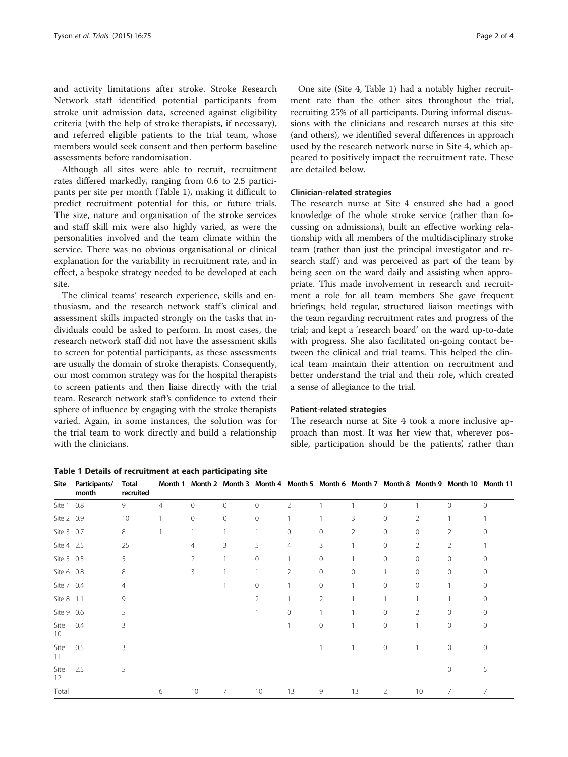<span id="page-1-0"></span>and activity limitations after stroke. Stroke Research Network staff identified potential participants from stroke unit admission data, screened against eligibility criteria (with the help of stroke therapists, if necessary), and referred eligible patients to the trial team, whose members would seek consent and then perform baseline assessments before randomisation.

Although all sites were able to recruit, recruitment rates differed markedly, ranging from 0.6 to 2.5 participants per site per month (Table 1), making it difficult to predict recruitment potential for this, or future trials. The size, nature and organisation of the stroke services and staff skill mix were also highly varied, as were the personalities involved and the team climate within the service. There was no obvious organisational or clinical explanation for the variability in recruitment rate, and in effect, a bespoke strategy needed to be developed at each site.

The clinical teams' research experience, skills and enthusiasm, and the research network staff's clinical and assessment skills impacted strongly on the tasks that individuals could be asked to perform. In most cases, the research network staff did not have the assessment skills to screen for potential participants, as these assessments are usually the domain of stroke therapists. Consequently, our most common strategy was for the hospital therapists to screen patients and then liaise directly with the trial team. Research network staff's confidence to extend their sphere of influence by engaging with the stroke therapists varied. Again, in some instances, the solution was for the trial team to work directly and build a relationship with the clinicians.

Table 1 Details of recruitment at each participating site

One site (Site 4, Table 1) had a notably higher recruitment rate than the other sites throughout the trial, recruiting 25% of all participants. During informal discussions with the clinicians and research nurses at this site (and others), we identified several differences in approach used by the research network nurse in Site 4, which appeared to positively impact the recruitment rate. These are detailed below.

## Clinician-related strategies

The research nurse at Site 4 ensured she had a good knowledge of the whole stroke service (rather than focussing on admissions), built an effective working relationship with all members of the multidisciplinary stroke team (rather than just the principal investigator and research staff) and was perceived as part of the team by being seen on the ward daily and assisting when appropriate. This made involvement in research and recruitment a role for all team members She gave frequent briefings; held regular, structured liaison meetings with the team regarding recruitment rates and progress of the trial; and kept a 'research board' on the ward up-to-date with progress. She also facilitated on-going contact between the clinical and trial teams. This helped the clinical team maintain their attention on recruitment and better understand the trial and their role, which created a sense of allegiance to the trial.

#### Patient-related strategies

The research nurse at Site 4 took a more inclusive approach than most. It was her view that, wherever possible, participation should be the patients', rather than

| Site       | Participants/<br>month | Total<br>recruited |                |                 |              |                |              |                |    |              |                | Month 1 Month 2 Month 3 Month 4 Month 5 Month 6 Month 7 Month 8 Month 9 Month 10 Month 11 |    |
|------------|------------------------|--------------------|----------------|-----------------|--------------|----------------|--------------|----------------|----|--------------|----------------|-------------------------------------------------------------------------------------------|----|
| Site 1 0.8 |                        | 9                  | $\overline{4}$ | $\Omega$        | $\Omega$     | $\Omega$       | 2            |                |    | $\Omega$     |                | 0                                                                                         |    |
| Site 2 0.9 |                        | 10                 |                | 0               | $\mathbf{0}$ | $\mathbf{0}$   |              |                | 3  | $\mathbf{0}$ | 2              |                                                                                           |    |
| Site 3 0.7 |                        | 8                  |                |                 |              |                | $\mathbf{0}$ | $\mathbf 0$    | 2  | $\mathbf{0}$ | 0              | 2                                                                                         |    |
| Site 4 2.5 |                        | 25                 |                |                 | 3            | 5              | 4            | 3              |    | $\Omega$     | $\overline{2}$ | 2                                                                                         |    |
| Site 5 0.5 |                        | 5                  |                |                 |              | 0              |              | $\circ$        |    | $\Omega$     | $\Omega$       | 0                                                                                         |    |
| Site 6 0.8 |                        | 8                  |                | 3               |              |                | 2            | $\mathbf{0}$   | 0  |              | 0              | 0                                                                                         |    |
| Site 7 0.4 |                        | $\overline{4}$     |                |                 |              | $\mathbf{0}$   |              | $\mathbf{0}$   |    | $\Omega$     | $\Omega$       |                                                                                           |    |
| Site 8 1.1 |                        | 9                  |                |                 |              | $\overline{2}$ |              | $\overline{2}$ |    |              |                |                                                                                           |    |
| Site 9 0.6 |                        | 5                  |                |                 |              |                | $\Omega$     |                |    | $\Omega$     | $\overline{2}$ | 0                                                                                         |    |
| Site<br>10 | 0.4                    | 3                  |                |                 |              |                |              | $\circ$        | 1  | 0            |                | 0                                                                                         |    |
| Site<br>11 | 0.5                    | 3                  |                |                 |              |                |              |                |    | $\mathbf{0}$ |                | 0                                                                                         |    |
| Site<br>12 | 2.5                    | 5                  |                |                 |              |                |              |                |    |              |                | 0                                                                                         | 5. |
| Total      |                        |                    | 6              | 10 <sup>°</sup> | 7            | 10             | 13           | 9              | 13 | 2            | 10             | 7                                                                                         | 7  |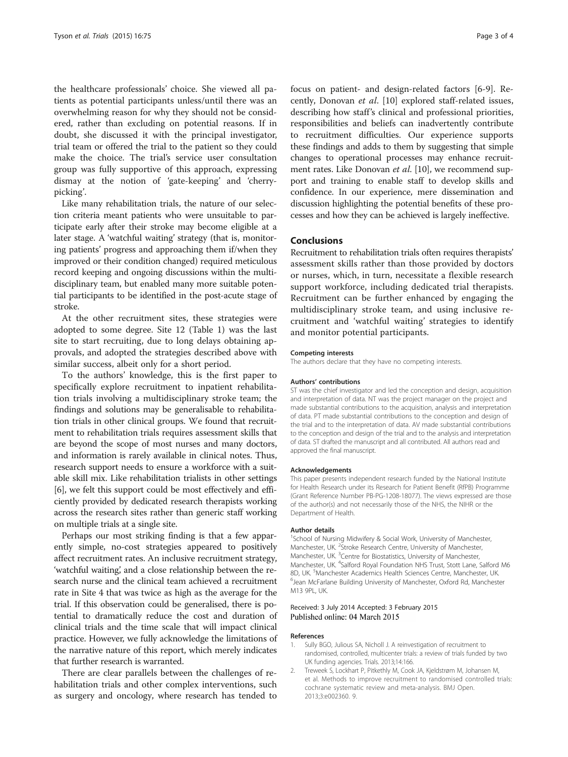<span id="page-2-0"></span>the healthcare professionals' choice. She viewed all patients as potential participants unless/until there was an overwhelming reason for why they should not be considered, rather than excluding on potential reasons. If in doubt, she discussed it with the principal investigator, trial team or offered the trial to the patient so they could make the choice. The trial's service user consultation group was fully supportive of this approach, expressing dismay at the notion of 'gate-keeping' and 'cherrypicking'.

Like many rehabilitation trials, the nature of our selection criteria meant patients who were unsuitable to participate early after their stroke may become eligible at a later stage. A 'watchful waiting' strategy (that is, monitoring patients' progress and approaching them if/when they improved or their condition changed) required meticulous record keeping and ongoing discussions within the multidisciplinary team, but enabled many more suitable potential participants to be identified in the post-acute stage of stroke.

At the other recruitment sites, these strategies were adopted to some degree. Site 12 (Table [1\)](#page-1-0) was the last site to start recruiting, due to long delays obtaining approvals, and adopted the strategies described above with similar success, albeit only for a short period.

To the authors' knowledge, this is the first paper to specifically explore recruitment to inpatient rehabilitation trials involving a multidisciplinary stroke team; the findings and solutions may be generalisable to rehabilitation trials in other clinical groups. We found that recruitment to rehabilitation trials requires assessment skills that are beyond the scope of most nurses and many doctors, and information is rarely available in clinical notes. Thus, research support needs to ensure a workforce with a suitable skill mix. Like rehabilitation trialists in other settings [[6\]](#page-3-0), we felt this support could be most effectively and efficiently provided by dedicated research therapists working across the research sites rather than generic staff working on multiple trials at a single site.

Perhaps our most striking finding is that a few apparently simple, no-cost strategies appeared to positively affect recruitment rates. An inclusive recruitment strategy, 'watchful waiting', and a close relationship between the research nurse and the clinical team achieved a recruitment rate in Site 4 that was twice as high as the average for the trial. If this observation could be generalised, there is potential to dramatically reduce the cost and duration of clinical trials and the time scale that will impact clinical practice. However, we fully acknowledge the limitations of the narrative nature of this report, which merely indicates that further research is warranted.

There are clear parallels between the challenges of rehabilitation trials and other complex interventions, such as surgery and oncology, where research has tended to

focus on patient- and design-related factors [[6-9](#page-3-0)]. Recently, Donovan et al. [\[10](#page-3-0)] explored staff-related issues, describing how staff's clinical and professional priorities, responsibilities and beliefs can inadvertently contribute to recruitment difficulties. Our experience supports these findings and adds to them by suggesting that simple changes to operational processes may enhance recruit-ment rates. Like Donovan et al. [\[10\]](#page-3-0), we recommend support and training to enable staff to develop skills and confidence. In our experience, mere dissemination and discussion highlighting the potential benefits of these processes and how they can be achieved is largely ineffective.

### Conclusions

Recruitment to rehabilitation trials often requires therapists' assessment skills rather than those provided by doctors or nurses, which, in turn, necessitate a flexible research support workforce, including dedicated trial therapists. Recruitment can be further enhanced by engaging the multidisciplinary stroke team, and using inclusive recruitment and 'watchful waiting' strategies to identify and monitor potential participants.

#### Competing interests

The authors declare that they have no competing interests.

#### Authors' contributions

ST was the chief investigator and led the conception and design, acquisition and interpretation of data. NT was the project manager on the project and made substantial contributions to the acquisition, analysis and interpretation of data. PT made substantial contributions to the conception and design of the trial and to the interpretation of data. AV made substantial contributions to the conception and design of the trial and to the analysis and interpretation of data. ST drafted the manuscript and all contributed. All authors read and approved the final manuscript.

#### Acknowledgements

This paper presents independent research funded by the National Institute for Health Research under its Research for Patient Benefit (RfPB) Programme (Grant Reference Number PB-PG-1208-18077). The views expressed are those of the author(s) and not necessarily those of the NHS, the NIHR or the Department of Health.

#### Author details

<sup>1</sup>School of Nursing Midwifery & Social Work, University of Manchester Manchester, UK. <sup>2</sup>Stroke Research Centre, University of Manchester Manchester, UK.<sup>3</sup> Centre for Biostatistics, University of Manchester, Manchester, UK. <sup>4</sup>Salford Royal Foundation NHS Trust, Stott Lane, Salford M6 8D, UK. <sup>5</sup> Manchester Academics Health Sciences Centre, Manchester, UK.<br><sup>6</sup> Joan McEarlang Building University of Manchester, Oxford Rd. Manchest <sup>6</sup> Jean McFarlane Building University of Manchester, Oxford Rd, Manchester M13 9PL, UK.

#### Received: 3 July 2014 Accepted: 3 February 2015 Published online: 04 March 2015

#### References

- 1. Sully BGO, Julious SA, Nicholl J. A reinvestigation of recruitment to randomised, controlled, multicenter trials: a review of trials funded by two UK funding agencies. Trials. 2013;14:166.
- 2. Treweek S, Lockhart P, Pitkethly M, Cook JA, Kjeldstrøm M, Johansen M, et al. Methods to improve recruitment to randomised controlled trials: cochrane systematic review and meta-analysis. BMJ Open. 2013;3:e002360. 9.